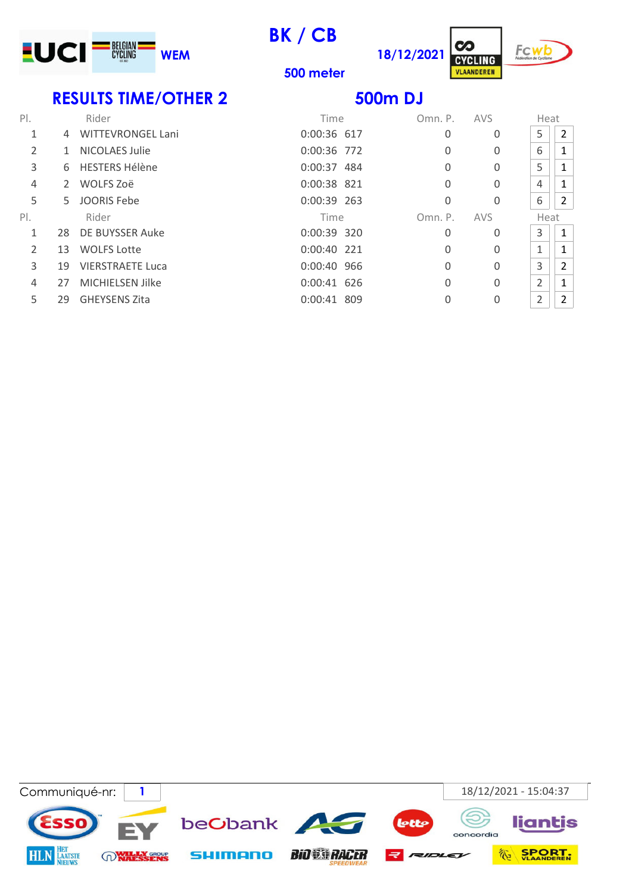

BK / CB

500 meter





RESULTS TIME/OTHER 2 500m DJ

| $P$ . |    | Rider                    | Time        | Omn. P.  | AVS         | Heat           |   |
|-------|----|--------------------------|-------------|----------|-------------|----------------|---|
| 1     | 4  | <b>WITTEVRONGEL Lani</b> | 0:00:36 617 | 0        | 0           | 5              | 2 |
| 2     | 1  | <b>NICOLAES Julie</b>    | 0:00:36 772 | 0        | $\mathbf 0$ | 6              |   |
| 3     |    | 6 HESTERS Hélène         | 0:00:37 484 | 0        | 0           | 5              |   |
| 4     | 2  | WOLFS Zoë                | 0:00:38 821 | 0        | 0           | 4              | 1 |
| 5     | 5. | <b>JOORIS Febe</b>       | 0:00:39 263 | 0        | 0           | 6              | 2 |
| PI.   |    | Rider                    | Time        | Omn. P.  | AVS         | Heat           |   |
| 1     |    |                          |             |          |             |                |   |
|       | 28 | DE BUYSSER Auke          | 0:00:39 320 | 0        | 0           | 3              | 1 |
| 2     | 13 | <b>WOLFS Lotte</b>       | 0:00:40 221 | 0        | $\mathbf 0$ | 1              |   |
| 3     | 19 | <b>VIERSTRAETE Luca</b>  | 0:00:40 966 | 0        | $\Omega$    | 3              | 2 |
| 4     | 27 | <b>MICHIELSEN Jilke</b>  | 0:00:41 626 | $\Omega$ | 0           | $\overline{2}$ | 1 |

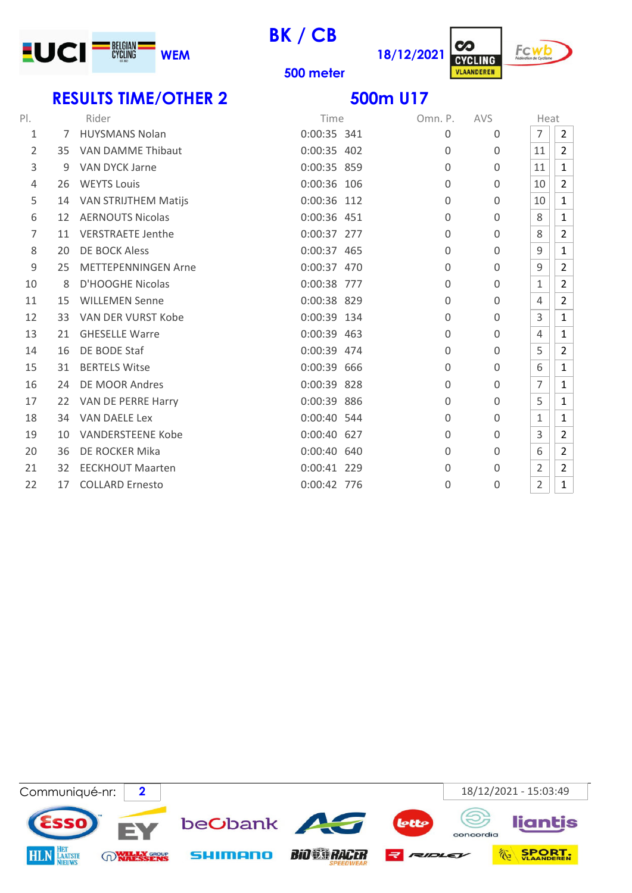

BK / CB





500 meter

### RESULTS TIME/OTHER 2 500m U17

| $P$ . |    | Rider                       | Time        | Omn. P.      | <b>AVS</b>  | Heat           |                |
|-------|----|-----------------------------|-------------|--------------|-------------|----------------|----------------|
| 1     | 7  | <b>HUYSMANS Nolan</b>       | 0:00:35 341 | 0            | $\Omega$    | $\overline{7}$ | 2              |
| 2     | 35 | <b>VAN DAMME Thibaut</b>    | 0:00:35 402 | $\Omega$     | $\Omega$    | 11             | $\overline{2}$ |
| 3     | 9  | VAN DYCK Jarne              | 0:00:35 859 | $\mathbf{0}$ | 0           | 11             | $\mathbf{1}$   |
| 4     | 26 | <b>WEYTS Louis</b>          | 0:00:36 106 | $\Omega$     | $\Omega$    | 10             | $\overline{2}$ |
| 5     | 14 | <b>VAN STRIJTHEM Matijs</b> | 0:00:36 112 | $\Omega$     | $\Omega$    | 10             | $\mathbf{1}$   |
| 6     | 12 | <b>AERNOUTS Nicolas</b>     | 0:00:36 451 | $\mathbf 0$  | $\mathbf 0$ | 8              | $\mathbf{1}$   |
| 7     | 11 | <b>VERSTRAETE Jenthe</b>    | 0:00:37 277 | 0            | $\mathbf 0$ | 8              | $\overline{2}$ |
| 8     | 20 | DE BOCK Aless               | 0:00:37 465 | $\mathbf 0$  | $\mathbf 0$ | 9              | $\mathbf{1}$   |
| 9     | 25 | <b>METTEPENNINGEN Arne</b>  | 0:00:37 470 | $\Omega$     | $\Omega$    | 9              | $\overline{2}$ |
| 10    | 8  | D'HOOGHE Nicolas            | 0:00:38 777 | $\Omega$     | $\mathbf 0$ | 1              | $\overline{2}$ |
| 11    | 15 | <b>WILLEMEN Senne</b>       | 0:00:38 829 | 0            | 0           | 4              | $\overline{2}$ |
| 12    | 33 | <b>VAN DER VURST Kobe</b>   | 0:00:39 134 | $\Omega$     | $\Omega$    | 3              | $\mathbf{1}$   |
| 13    | 21 | <b>GHESELLE Warre</b>       | 0:00:39 463 | $\Omega$     | $\Omega$    | 4              | 1              |
| 14    | 16 | DE BODE Staf                | 0:00:39 474 | 0            | $\Omega$    | 5              | $\overline{2}$ |
| 15    | 31 | <b>BERTELS Witse</b>        | 0:00:39 666 | $\Omega$     | $\Omega$    | 6              | $\mathbf{1}$   |
| 16    | 24 | DE MOOR Andres              | 0:00:39 828 | 0            | $\mathbf 0$ | $\overline{7}$ | $\mathbf{1}$   |
| 17    | 22 | VAN DE PERRE Harry          | 0:00:39 886 | $\Omega$     | $\Omega$    | 5              | 1              |
| 18    | 34 | <b>VAN DAELE Lex</b>        | 0:00:40 544 | $\Omega$     | $\mathbf 0$ | 1              | $\mathbf 1$    |
| 19    | 10 | <b>VANDERSTEENE Kobe</b>    | 0:00:40 627 | 0            | $\mathbf 0$ | 3              | $\overline{2}$ |
| 20    | 36 | DE ROCKER Mika              | 0:00:40 640 | 0            | $\mathbf 0$ | 6              | $\overline{2}$ |
| 21    | 32 | <b>EECKHOUT Maarten</b>     | 0:00:41 229 | $\mathbf{0}$ | $\Omega$    | 2              | $\overline{2}$ |
| 22    | 17 | <b>COLLARD Ernesto</b>      | 0:00:42 776 | 0            | $\mathbf 0$ | $\overline{2}$ | $\mathbf{1}$   |

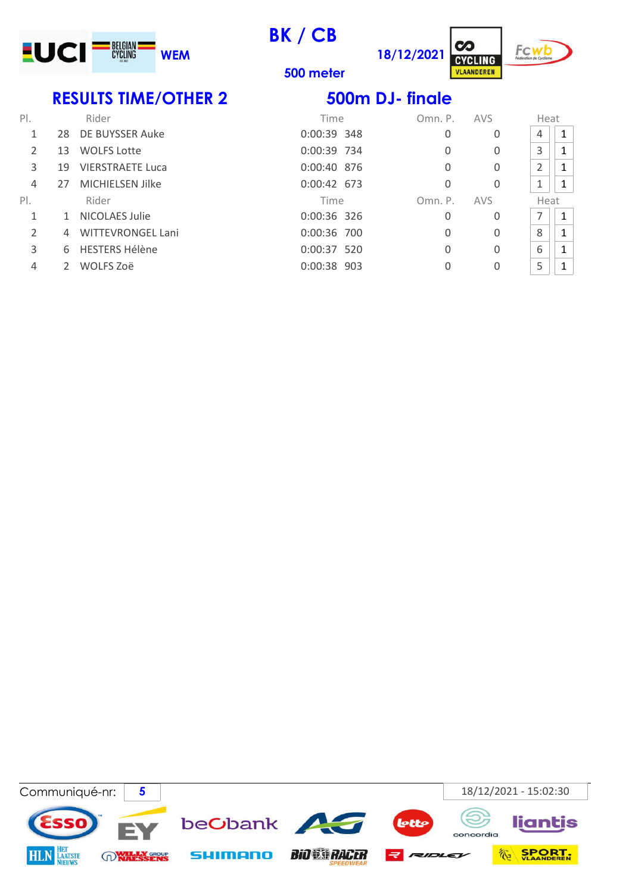

BK / CB





500 meter

## RESULTS TIME/OTHER 2 500m DJ- finale

| PI.           |    | Rider                    | Time          | Omn. P.  | AVS | Heat |              |
|---------------|----|--------------------------|---------------|----------|-----|------|--------------|
|               | 28 | DE BUYSSER Auke          | 0:00:39 348   | $\Omega$ | 0   | 4    |              |
| 2             | 13 | <b>WOLFS Lotte</b>       | 0:00:39 734   | 0        | 0   | 3    |              |
| 3             | 19 | <b>VIERSTRAETE Luca</b>  | 0:00:40 876   | 0        | 0   | 2    |              |
| 4             | 27 | MICHIELSEN Jilke         | 0:00:42 673   | 0        | 0   | 1    |              |
| PI.           |    | Rider                    | Time          | Omn. P.  | AVS | Heat |              |
| 1             |    | NICOLAES Julie           | $0:00:36$ 326 | 0        | 0   | 7    | $\mathbf{1}$ |
| $\mathcal{P}$ | 4  | <b>WITTEVRONGEL Lani</b> | 0:00:36 700   | 0        | 0   | 8    |              |
| 3             |    | 6 HESTERS Hélène         | $0:00:37$ 520 | 0        | 0   | 6    |              |
| 4             |    | WOLFS Zoë                | 0:00:38 903   | 0        | 0   | 5    |              |

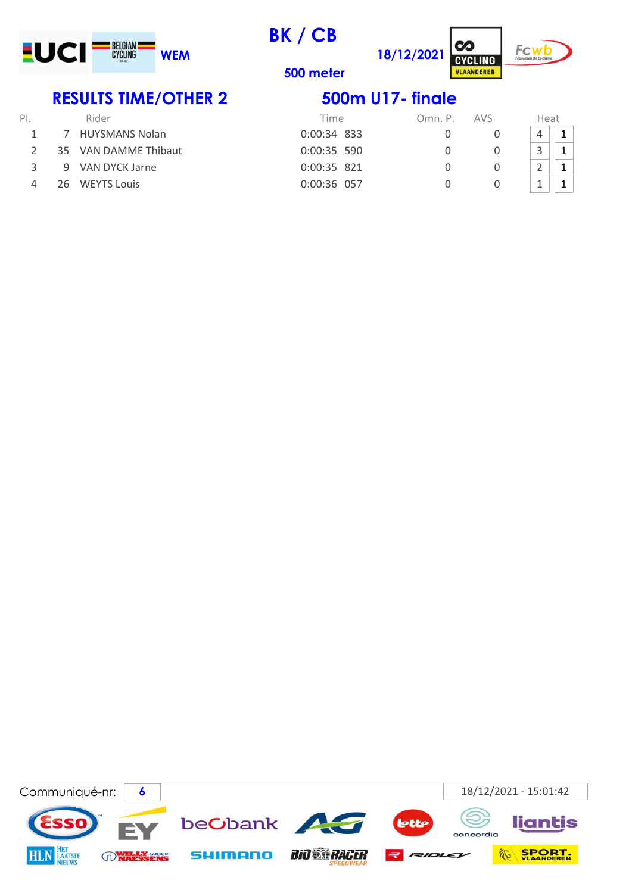

BK / CB

500 meter





# RESULTS TIME/OTHER 2 500m U17- finale

| PI. |     | Rider                 | Time          | Omn. P. | <b>AVS</b> | Heat           |  |
|-----|-----|-----------------------|---------------|---------|------------|----------------|--|
|     |     | <b>HUYSMANS Nolan</b> | $0:00:34$ 833 |         |            | 4              |  |
|     | 35. | VAN DAMME Thibaut     | $0:00:35$ 590 |         |            | $\overline{a}$ |  |
|     |     | 9 VAN DYCK Jarne      | 0:00:35 821   |         |            | $\sim$<br>ے    |  |
|     | 26. | <b>WEYTS Louis</b>    | 0:00:36 057   |         |            | <b>.</b>       |  |

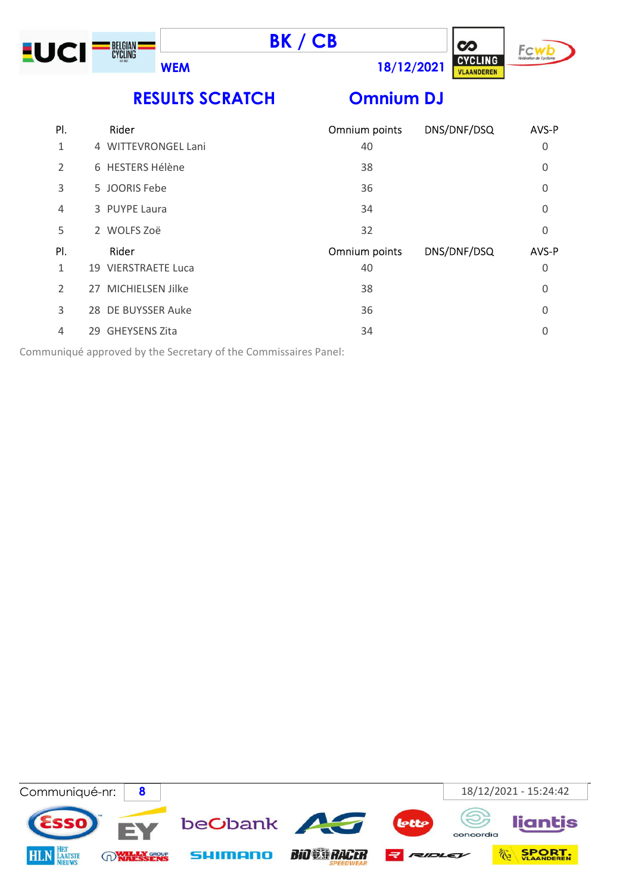





RESULTS SCRATCH Omnium DJ

# 1 4 WITTEVRONGEL Lani 2 6 HESTERS Hélène 3 5 JOORIS Febe 4 3 PUYPE Laura

|  | 2 WOLFS Zoë |
|--|-------------|
|  |             |

| Rider               |
|---------------------|
| 19 VIERSTRAETE Luca |
| 27 MICHIELSEN Jilke |

| Rider               | Omnium points | DNS/DNF/DSQ | AVS-P    |
|---------------------|---------------|-------------|----------|
| 4 WITTEVRONGEL Lani | 40            |             | 0        |
| 6 HESTERS Hélène    | 38            |             | 0        |
| 5 JOORIS Febe       | 36            |             | $\Omega$ |
| 3 PUYPE Laura       | 34            |             | $\Omega$ |
| 2 WOLFS Zoë         | 32            |             | $\Omega$ |
| Rider               | Omnium points | DNS/DNF/DSQ | AVS-P    |
| 19 VIERSTRAETE Luca | 40            |             | 0        |
| 27 MICHIELSEN Jilke | 38            |             | $\Omega$ |
| 28 DE BUYSSER Auke  | 36            |             | 0        |
| 29 GHEYSENS Zita    | 34            |             | $\Omega$ |
|                     |               |             |          |

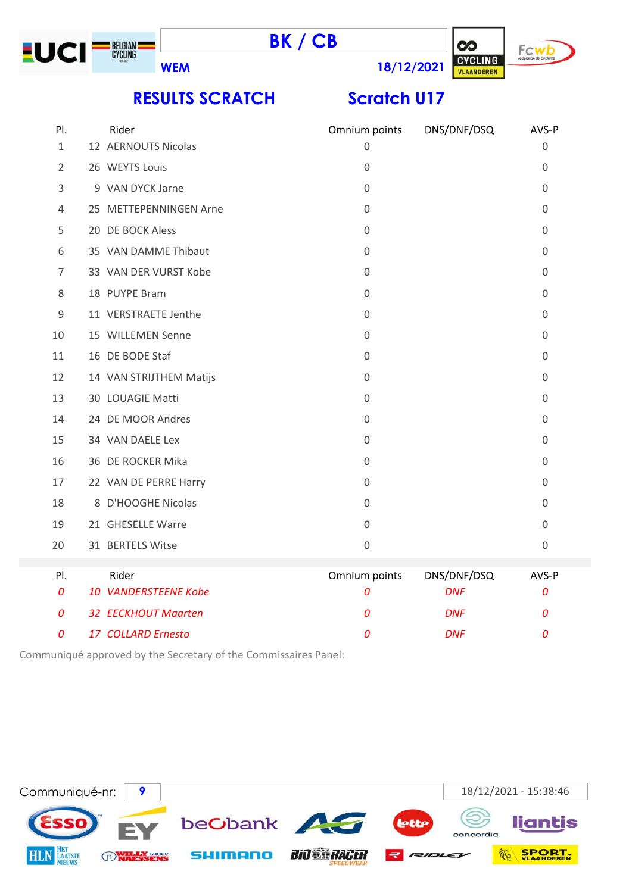





RESULTS SCRATCH Scratch U17

| PI.            | Rider                      | Omnium points       | DNS/DNF/DSQ | AVS-P          |
|----------------|----------------------------|---------------------|-------------|----------------|
| $\mathbf{1}$   | 12 AERNOUTS Nicolas        | $\mathsf{O}\xspace$ |             | $\mathbf 0$    |
| $\overline{2}$ | 26 WEYTS Louis             | $\mathbf 0$         |             | $\mathbf 0$    |
| 3              | 9 VAN DYCK Jarne           | $\mathbf 0$         |             | $\mathbf 0$    |
| 4              | 25 METTEPENNINGEN Arne     | $\mathbf 0$         |             | $\mathbf 0$    |
| 5              | 20 DE BOCK Aless           | $\mathbf 0$         |             | $\overline{0}$ |
| 6              | 35 VAN DAMME Thibaut       | $\mathsf{O}\xspace$ |             | $\mathbf 0$    |
| 7              | 33 VAN DER VURST Kobe      | $\mathbf 0$         |             | $\mathbf 0$    |
| 8              | 18 PUYPE Bram              | 0                   |             | 0              |
| $\mathsf 9$    | 11 VERSTRAETE Jenthe       | $\mathbf 0$         |             | $\mathbf 0$    |
| 10             | 15 WILLEMEN Senne          | $\mathbf 0$         |             | $\mathbf 0$    |
| 11             | 16 DE BODE Staf            | $\mathbf 0$         |             | $\mathbf 0$    |
| 12             | 14 VAN STRIJTHEM Matijs    | 0                   |             | 0              |
| 13             | 30 LOUAGIE Matti           | $\mathbf 0$         |             | $\overline{0}$ |
| 14             | 24 DE MOOR Andres          | $\Omega$            |             | $\Omega$       |
| 15             | 34 VAN DAELE Lex           | $\mathbf 0$         |             | $\mathbf 0$    |
| 16             | 36 DE ROCKER Mika          | 0                   |             | 0              |
| 17             | 22 VAN DE PERRE Harry      | $\mathbf 0$         |             | $\mathbf 0$    |
| 18             | 8 D'HOOGHE Nicolas         | $\mathbf 0$         |             | $\mathbf 0$    |
| 19             | 21 GHESELLE Warre          | $\mathbf 0$         |             | $\overline{0}$ |
| 20             | 31 BERTELS Witse           | $\mathbf 0$         |             | $\mathbf 0$    |
| PI.            | Rider                      | Omnium points       | DNS/DNF/DSQ | AVS-P          |
| 0              | 10 VANDERSTEENE Kobe       | 0                   | <b>DNF</b>  | 0              |
| 0              | <b>32 EECKHOUT Maarten</b> | 0                   | <b>DNF</b>  | 0              |
| 0              | 17 COLLARD Ernesto         | 0                   | <b>DNF</b>  | 0              |

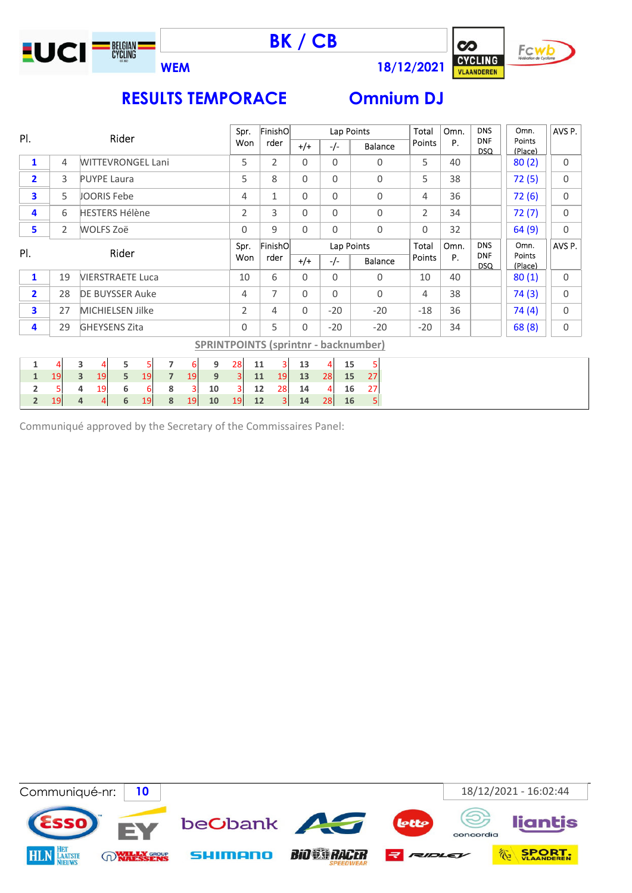







| PI.                     |                          | Rider                   |                         |   |     |                 |             | Spr.  |                | FinishO | Lap Points         |             |          |                          | Total                                       | Omn.              | <b>DNS</b> | Omn.  | AVS P.      |             |
|-------------------------|--------------------------|-------------------------|-------------------------|---|-----|-----------------|-------------|-------|----------------|---------|--------------------|-------------|----------|--------------------------|---------------------------------------------|-------------------|------------|-------|-------------|-------------|
|                         | <b>WITTEVRONGEL Lani</b> |                         |                         |   |     |                 | Won<br>rder |       | $+/-$          | $-/-$   |                    | Balance     | Points   | Р.                       | <b>DNF</b><br><b>DSQ</b>                    | Points<br>(Place) |            |       |             |             |
| $\mathbf{1}$            | 4                        |                         |                         |   |     |                 |             |       | 5              |         | $\overline{2}$     | $\mathbf 0$ | 0        |                          | 0                                           | 5                 | 40         |       | 80(2)       | $\mathbf 0$ |
| $\overline{2}$          | 3                        |                         | <b>PUYPE Laura</b>      |   |     |                 |             |       | 5              |         | 8                  | 0           | 0        |                          | 0                                           | 5                 | 38         |       | 72(5)       | $\mathbf 0$ |
| 3                       | 5                        |                         | <b>JOORIS Febe</b>      |   |     |                 |             | 4     |                | 1       | $\mathbf 0$        | 0           |          | 0                        | 4                                           | 36                |            | 72(6) | $\mathbf 0$ |             |
| 4                       | 6                        |                         | <b>HESTERS Hélène</b>   |   |     |                 |             |       | $\overline{2}$ |         | 3                  | $\Omega$    | $\Omega$ |                          | $\mathbf 0$                                 | $\overline{2}$    | 34         |       | 72(7)       | $\Omega$    |
| 5                       | $\overline{2}$           |                         | WOLFS Zoë               |   |     |                 |             |       | 0              |         | 9                  | $\Omega$    | 0        |                          | 0                                           | $\Omega$          | 32         |       | 64(9)       | $\Omega$    |
| PI.                     |                          | Rider                   |                         |   |     | FinishO<br>Spr. | Lap Points  |       |                | Total   | Omn.<br><b>DNS</b> |             | Omn.     | AVS P.                   |                                             |                   |            |       |             |             |
|                         |                          |                         |                         |   | Won |                 | rder        | $+/-$ | $-/-$          |         | <b>Balance</b>     | Points      | P.       | <b>DNF</b><br><b>DSQ</b> | <b>Points</b><br>(Place)                    |                   |            |       |             |             |
| $\mathbf{1}$            | 19                       |                         | <b>VIERSTRAETE Luca</b> |   |     |                 |             |       | 10             |         | 6                  | 0           | 0        |                          | 0                                           | 10                | 40         |       | 80(1)       | $\mathbf 0$ |
| $\overline{\mathbf{2}}$ | 28                       |                         | <b>DE BUYSSER Auke</b>  |   |     |                 |             |       | 4              |         | 7                  | 0           | 0        |                          | 0                                           | 4                 | 38         |       | 74(3)       | $\Omega$    |
| 3                       | 27                       |                         | <b>MICHIELSEN Jilke</b> |   |     |                 |             |       | 2              |         | 4                  | $\Omega$    | $-20$    |                          | $-20$                                       | $-18$             | 36         |       | 74(4)       | $\Omega$    |
| 4                       | 29                       |                         | <b>GHEYSENS Zita</b>    |   |     |                 |             |       | $\Omega$       |         | 5                  | $\Omega$    | $-20$    |                          | $-20$                                       | $-20$             | 34         |       | 68(8)       | 0           |
|                         |                          |                         |                         |   |     |                 |             |       |                |         |                    |             |          |                          | <b>SPRINTPOINTS (sprintnr - backnumber)</b> |                   |            |       |             |             |
| $\mathbf 1$             | 4                        | 3                       | 4                       | 5 | 5   | $\overline{ }$  | 6           | 9     | 28             | 11      | 3                  | 13          | 4        | 15                       | 5                                           |                   |            |       |             |             |
| $\mathbf{1}$            | 19                       | $\overline{\mathbf{3}}$ | 19                      | 5 | 19  | $\overline{7}$  | 19          | 9     | $\overline{3}$ | 11      | 19                 | 13          | 28       | 15                       | 27                                          |                   |            |       |             |             |
| $\overline{\mathbf{2}}$ | 5                        | 4                       | 19                      | 6 | 6   | 8               | 3           | 10    |                | 12      | 28                 | 14          | 4        | 16                       | 27                                          |                   |            |       |             |             |
| $\overline{2}$          | 19                       | 4                       | 4                       | 6 | 19  | 8               | 19          | 10    | 19             | 12      | 3                  | 14          | 28       | 16                       | 5                                           |                   |            |       |             |             |

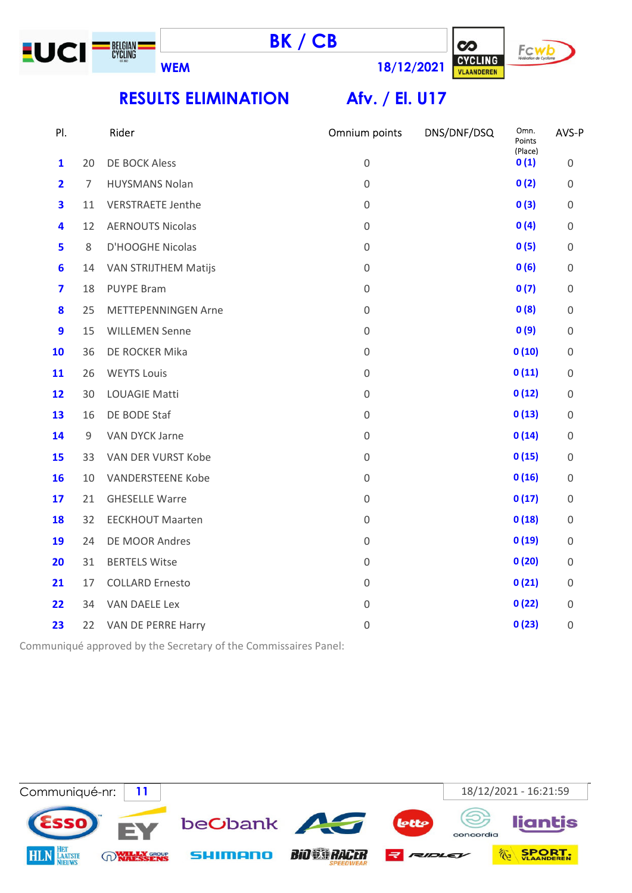





RESULTS ELIMINATION Afv. / El. U17

| PI.                     |    | Rider                                                           | Omnium points       | DNS/DNF/DSQ | Omn.<br>Points  | AVS-P               |
|-------------------------|----|-----------------------------------------------------------------|---------------------|-------------|-----------------|---------------------|
| $\mathbf{1}$            | 20 | DE BOCK Aless                                                   | $\mathbf 0$         |             | (Place)<br>0(1) | $\mathsf{O}\xspace$ |
| $\overline{2}$          | 7  | <b>HUYSMANS Nolan</b>                                           | 0                   |             | 0(2)            | $\mathsf 0$         |
| $\overline{\mathbf{3}}$ | 11 | <b>VERSTRAETE Jenthe</b>                                        | $\mathbf 0$         |             | 0(3)            | $\mathsf 0$         |
| $\overline{\mathbf{4}}$ | 12 | <b>AERNOUTS Nicolas</b>                                         | $\mathbf 0$         |             | 0(4)            | $\mathsf 0$         |
| 5                       | 8  | D'HOOGHE Nicolas                                                | $\mathbf 0$         |             | 0(5)            | $\mathsf 0$         |
| $6\phantom{1}$          | 14 | VAN STRIJTHEM Matijs                                            | 0                   |             | 0(6)            | $\boldsymbol{0}$    |
| $\overline{\mathbf{z}}$ | 18 | <b>PUYPE Bram</b>                                               | $\mathbf 0$         |             | 0(7)            | $\mathsf 0$         |
| 8                       | 25 | <b>METTEPENNINGEN Arne</b>                                      | 0                   |             | 0(8)            | $\mathsf 0$         |
| $\boldsymbol{9}$        | 15 | <b>WILLEMEN Senne</b>                                           | 0                   |             | 0(9)            | $\mathsf 0$         |
| 10                      | 36 | DE ROCKER Mika                                                  | $\mathbf 0$         |             | 0(10)           | $\mathsf 0$         |
| 11                      | 26 | <b>WEYTS Louis</b>                                              | $\mathbf 0$         |             | 0(11)           | $\mathsf 0$         |
| 12                      | 30 | <b>LOUAGIE Matti</b>                                            | $\mathbf 0$         |             | 0(12)           | $\mathsf 0$         |
| 13                      | 16 | DE BODE Staf                                                    | 0                   |             | 0(13)           | $\mathsf 0$         |
| 14                      | 9  | VAN DYCK Jarne                                                  | 0                   |             | 0(14)           | $\mathsf 0$         |
| 15                      | 33 | VAN DER VURST Kobe                                              | 0                   |             | 0(15)           | $\mathsf 0$         |
| 16                      | 10 | <b>VANDERSTEENE Kobe</b>                                        | 0                   |             | 0(16)           | $\mathbf 0$         |
| 17                      | 21 | <b>GHESELLE Warre</b>                                           | $\mathbf 0$         |             | 0(17)           | $\mathsf 0$         |
| 18                      | 32 | <b>EECKHOUT Maarten</b>                                         | 0                   |             | 0(18)           | $\mathbf 0$         |
| 19                      | 24 | DE MOOR Andres                                                  | $\mathbf 0$         |             | 0(19)           | $\mathsf 0$         |
| 20                      | 31 | <b>BERTELS Witse</b>                                            | $\mathbf 0$         |             | 0(20)           | $\boldsymbol{0}$    |
| 21                      | 17 | <b>COLLARD Ernesto</b>                                          | $\mathbf 0$         |             | 0(21)           | $\mathsf{O}\xspace$ |
| 22                      | 34 | VAN DAELE Lex                                                   | $\mathsf{O}\xspace$ |             | 0(22)           | $\boldsymbol{0}$    |
| 23                      | 22 | VAN DE PERRE Harry                                              | $\mathbf 0$         |             | 0(23)           | $\boldsymbol{0}$    |
|                         |    | Communiqué approved by the Secretary of the Commissaires Panel: |                     |             |                 |                     |

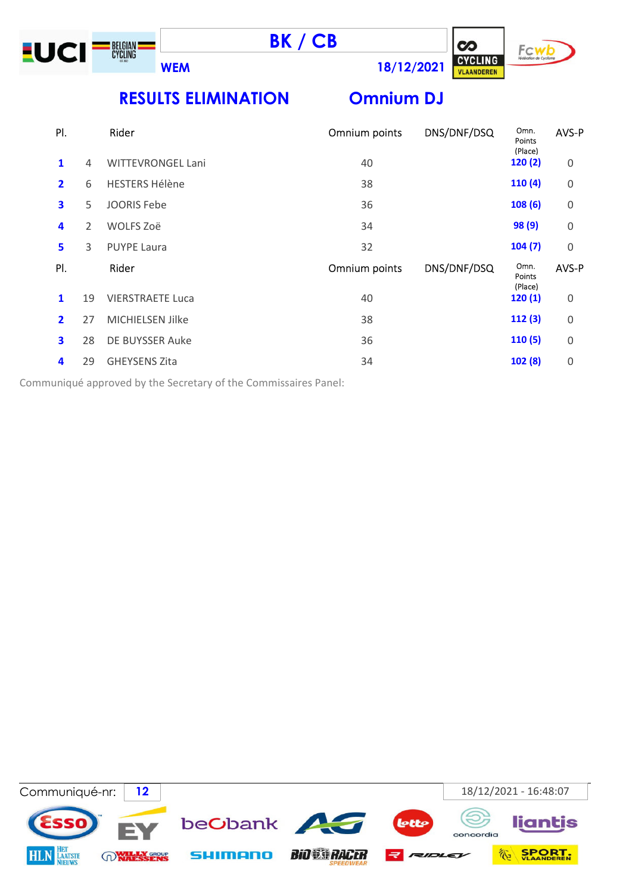





 $\infty$ 

RESULTS ELIMINATION Omnium DJ

| PI.            |    | Rider                    | Omnium points | DNS/DNF/DSQ | Omn.<br>Points<br>(Place) | AVS-P       |
|----------------|----|--------------------------|---------------|-------------|---------------------------|-------------|
| 1              | 4  | <b>WITTEVRONGEL Lani</b> | 40            |             | 120(2)                    | 0           |
| $\mathbf{2}$   | 6  | <b>HESTERS Hélène</b>    | 38            |             | 110(4)                    | 0           |
| 3              | 5  | <b>JOORIS Febe</b>       | 36            |             | 108(6)                    | 0           |
| 4              | 2  | WOLFS Zoë                | 34            |             | 98 (9)                    | 0           |
| 5              | 3  | <b>PUYPE Laura</b>       | 32            |             | 104(7)                    | $\Omega$    |
|                |    | Rider                    |               | DNS/DNF/DSQ | Omn.                      | AVS-P       |
| PI.            |    |                          | Omnium points |             | Points                    |             |
| 1              | 19 | <b>VIERSTRAETE Luca</b>  | 40            |             | (Place)<br>120(1)         | 0           |
| $\overline{2}$ | 27 | MICHIELSEN Jilke         | 38            |             | 112(3)                    | 0           |
| 3              | 28 | DE BUYSSER Auke          | 36            |             | 110(5)                    | $\mathbf 0$ |
| 4              | 29 | <b>GHEYSENS Zita</b>     | 34            |             | 102(8)                    | 0           |

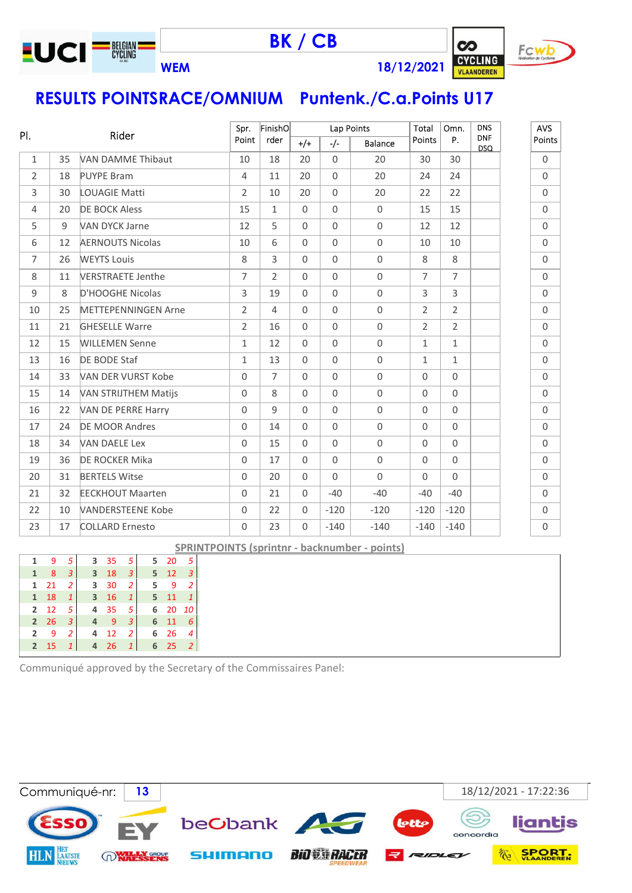

BK / CB



RESULTS POINTSRACE/OMNIUM Puntenk./C.a.Points U17

|                |    | Rider                       |                | FinishO        |          | Lap Points |                     | Total               | Omn.                | <b>DNS</b>               | <b>AVS</b>  |
|----------------|----|-----------------------------|----------------|----------------|----------|------------|---------------------|---------------------|---------------------|--------------------------|-------------|
| PI.            |    |                             | Point          | rder           | $+/+$    | $-/-$      | Balance             | Points              | P.                  | <b>DNF</b><br><b>DSQ</b> | Points      |
| $\mathbf{1}$   | 35 | <b>VAN DAMME Thibaut</b>    | 10             | 18             | 20       | $\Omega$   | 20                  | 30                  | 30                  |                          | $\mathbf 0$ |
| $\overline{2}$ | 18 | <b>PUYPE Bram</b>           | $\overline{4}$ | 11             | 20       | $\Omega$   | 20                  | 24                  | 24                  |                          | $\Omega$    |
| 3              | 30 | <b>LOUAGIE Matti</b>        | $\overline{2}$ | 10             | 20       | $\Omega$   | 20                  | 22                  | 22                  |                          | $\mathbf 0$ |
| $\overline{4}$ | 20 | <b>DE BOCK Aless</b>        | 15             | $\mathbf{1}$   | $\Omega$ | $\Omega$   | $\mathsf{O}\xspace$ | 15                  | 15                  |                          | $\Omega$    |
| 5              | 9  | <b>VAN DYCK Jarne</b>       | 12             | 5              | $\Omega$ | $\Omega$   | $\mathbf 0$         | 12                  | 12                  |                          | $\mathbf 0$ |
| 6              | 12 | <b>AERNOUTS Nicolas</b>     | 10             | 6              | $\Omega$ | $\Omega$   | $\mathsf{O}\xspace$ | 10                  | 10                  |                          | $\Omega$    |
| $\overline{7}$ | 26 | <b>WEYTS Louis</b>          | 8              | 3              | $\Omega$ | $\Omega$   | $\mathbf 0$         | 8                   | 8                   |                          | $\mathbf 0$ |
| 8              | 11 | <b>VERSTRAETE Jenthe</b>    | $\overline{7}$ | $\overline{2}$ | $\Omega$ | $\Omega$   | $\mathsf{O}\xspace$ | $\overline{7}$      | $\overline{7}$      |                          | $\Omega$    |
| 9              | 8  | D'HOOGHE Nicolas            | 3              | 19             | $\Omega$ | $\Omega$   | $\mathsf{O}\xspace$ | $\mathsf{3}$        | 3                   |                          | $\mathbf 0$ |
| 10             | 25 | <b>METTEPENNINGEN Arne</b>  | $\overline{2}$ | $\overline{4}$ | $\Omega$ | $\Omega$   | $\mathsf{O}\xspace$ | 2                   | $\overline{2}$      |                          | $\Omega$    |
| 11             | 21 | <b>GHESELLE Warre</b>       | $\overline{2}$ | 16             | $\Omega$ | $\Omega$   | $\mathsf{O}\xspace$ | $\overline{2}$      | $\overline{2}$      |                          | $\mathbf 0$ |
| 12             | 15 | <b>WILLEMEN Senne</b>       | $\mathbf{1}$   | 12             | $\Omega$ | $\Omega$   | $\mathbf 0$         | $\mathbf{1}$        | $\mathbf{1}$        |                          | $\Omega$    |
| 13             | 16 | DE BODE Staf                | $\mathbf{1}$   | 13             | $\Omega$ | $\Omega$   | $\mathsf{O}\xspace$ | $\mathbf{1}$        | $\mathbf{1}$        |                          | $\mathbf 0$ |
| 14             | 33 | VAN DER VURST Kobe          | $\Omega$       | $\overline{7}$ | $\Omega$ | $\Omega$   | $\mathbf 0$         | $\Omega$            | $\Omega$            |                          | $\Omega$    |
| 15             | 14 | <b>VAN STRIJTHEM Matijs</b> | $\Omega$       | 8              | $\Omega$ | $\Omega$   | $\mathsf 0$         | $\mathsf{O}\xspace$ | $\mathbf 0$         |                          | $\Omega$    |
| 16             | 22 | VAN DE PERRE Harry          | $\Omega$       | 9              | $\Omega$ | $\Omega$   | $\mathsf{O}\xspace$ | $\mathbf 0$         | $\Omega$            |                          | $\Omega$    |
| 17             | 24 | <b>DE MOOR Andres</b>       | $\Omega$       | 14             | $\Omega$ | $\Omega$   | $\mathsf 0$         | $\mathsf{O}\xspace$ | $\mathbf 0$         |                          | $\Omega$    |
| 18             | 34 | <b>VAN DAELE Lex</b>        | $\Omega$       | 15             | $\Omega$ | $\Omega$   | $\mathsf 0$         | $\Omega$            | $\Omega$            |                          | $\Omega$    |
| 19             | 36 | DE ROCKER Mika              | $\Omega$       | 17             | $\Omega$ | $\Omega$   | $\mathsf 0$         | $\mathsf{O}\xspace$ | $\mathsf{O}\xspace$ |                          | $\Omega$    |
| 20             | 31 | <b>BERTELS Witse</b>        | $\Omega$       | 20             | $\Omega$ | $\Omega$   | $\Omega$            | $\Omega$            | $\mathbf 0$         |                          | $\Omega$    |
| 21             | 32 | <b>EECKHOUT Maarten</b>     | $\Omega$       | 21             | $\Omega$ | $-40$      | $-40$               | $-40$               | $-40$               |                          | $\mathbf 0$ |
| 22             | 10 | <b>VANDERSTEENE Kobe</b>    | $\Omega$       | 22             | $\Omega$ | $-120$     | $-120$              | $-120$              | $-120$              |                          | $\Omega$    |
| 23             | 17 | <b>COLLARD Ernesto</b>      | $\Omega$       | 23             | $\Omega$ | $-140$     | $-140$              | $-140$              | $-140$              |                          | $\mathbf 0$ |

SPRINTPOINTS (sprintnr - backnumber - points)

|                | 9  | 5 | 3                       | 35 | .5 | 5 <sub>1</sub> | 20 | .5            |
|----------------|----|---|-------------------------|----|----|----------------|----|---------------|
| 1              | 8  | 3 | 3                       | 18 | 3  | 5              | 12 |               |
| 1              | 21 | 2 | 3                       | 30 | 2  | 5              | 9  | 2             |
| 1              | 18 | 1 | $\overline{\mathbf{3}}$ | 16 | 1  | 5              | 11 |               |
| $\overline{2}$ | 12 | 5 | 4                       | 35 | 5  | 6              | 20 | - 10          |
| $\overline{2}$ | 26 | 3 | 4                       | 9  | 3  | 6              | 11 | 6             |
| $\overline{2}$ | 9  | 2 | 4                       | 12 | 2  | 6              | 26 |               |
| $\overline{2}$ | 15 | 1 | 4                       | 26 | 1  | 6              | 25 | $\mathcal{P}$ |
|                |    |   |                         |    |    |                |    |               |